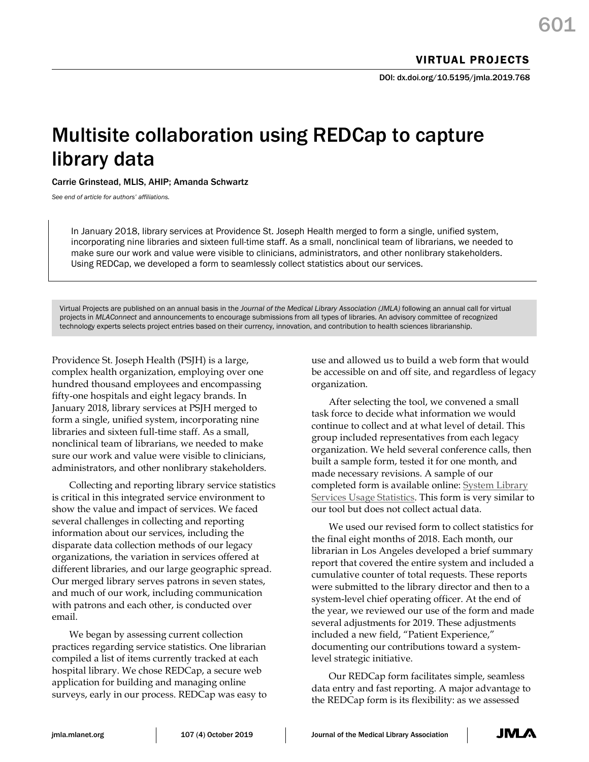DOI: dx.doi.org/10.5195/jmla.2019.768

## Multisite collaboration using REDCap to capture library data

Carrie Grinstead, MLIS, AHIP; Amanda Schwartz

*See end of article for authors' affiliations.*

In January 2018, library services at Providence St. Joseph Health merged to form a single, unified system, incorporating nine libraries and sixteen full-time staff. As a small, nonclinical team of librarians, we needed to make sure our work and value were visible to clinicians, administrators, and other nonlibrary stakeholders. Using REDCap, we developed a form to seamlessly collect statistics about our services.

Virtual Projects are published on an annual basis in the *Journal of the Medical Library Association (JMLA)* following an annual call for virtual projects in *MLAConnect* and announcements to encourage submissions from all types of libraries. An advisory committee of recognized technology experts selects project entries based on their currency, innovation, and contribution to health sciences librarianship.

Providence St. Joseph Health (PSJH) is a large, complex health organization, employing over one hundred thousand employees and encompassing fifty-one hospitals and eight legacy brands. In January 2018, library services at PSJH merged to form a single, unified system, incorporating nine libraries and sixteen full-time staff. As a small, nonclinical team of librarians, we needed to make sure our work and value were visible to clinicians, administrators, and other nonlibrary stakeholders.

Collecting and reporting library service statistics is critical in this integrated service environment to show the value and impact of services. We faced several challenges in collecting and reporting information about our services, including the disparate data collection methods of our legacy organizations, the variation in services offered at different libraries, and our large geographic spread. Our merged library serves patrons in seven states, and much of our work, including communication with patrons and each other, is conducted over email.

We began by assessing current collection practices regarding service statistics. One librarian compiled a list of items currently tracked at each hospital library. We chose REDCap, a secure web application for building and managing online surveys, early in our process. REDCap was easy to

use and allowed us to build a web form that would be accessible on and off site, and regardless of legacy organization.

After selecting the tool, we convened a small task force to decide what information we would continue to collect and at what level of detail. This group included representatives from each legacy organization. We held several conference calls, then built a sample form, tested it for one month, and made necessary revisions. A sample of our completed form is available online: System Library Services Usage Statistics. This form is very similar to our tool but does not collect actual data.

We used our revised form to collect statistics for the final eight months of 2018. Each month, our librarian in Los Angeles developed a brief summary report that covered the entire system and included a cumulative counter of total requests. These reports were submitted to the library director and then to a system-level chief operating officer. At the end of the year, we reviewed our use of the form and made several adjustments for 2019. These adjustments included a new field, "Patient Experience," documenting our contributions toward a systemlevel strategic initiative.

Our REDCap form facilitates simple, seamless data entry and fast reporting. A major advantage to the REDCap form is its flexibility: as we assessed